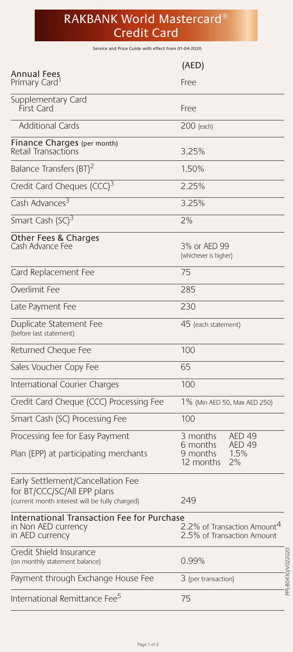# RAKBANK World Mastercard® Credit Card

Service and Price Guide with effect from 01-04-2020

|                                                                                                                    | (AED)                                                                 |
|--------------------------------------------------------------------------------------------------------------------|-----------------------------------------------------------------------|
| Annual Fees<br>Primary Card                                                                                        | Free                                                                  |
| Supplementary Card<br>First Card                                                                                   | Free                                                                  |
| <b>Additional Cards</b>                                                                                            | 200 (each)                                                            |
| Finance Charges (per month)<br>Retail Transactions                                                                 | 3.25%                                                                 |
| Balance Transfers (BT) <sup>2</sup>                                                                                | 1.50%                                                                 |
| Credit Card Cheques (CCC) <sup>3</sup>                                                                             | 2.25%                                                                 |
| Cash Advances <sup>3</sup>                                                                                         | 3.25%                                                                 |
| Smart Cash (SC) <sup>3</sup>                                                                                       | 2%                                                                    |
| Other Fees & Charges<br>Cash Advance Fee                                                                           | 3% or AED 99<br>(whichever is higher)                                 |
| Card Replacement Fee                                                                                               | 75                                                                    |
| Overlimit Fee                                                                                                      | 285                                                                   |
| Late Payment Fee                                                                                                   | 230                                                                   |
| Duplicate Statement Fee<br>(before last statement)                                                                 | 45 (each statement)                                                   |
| Returned Cheque Fee                                                                                                | 100                                                                   |
| Sales Voucher Copy Fee                                                                                             | 65                                                                    |
| International Courier Charges                                                                                      | 100                                                                   |
| Credit Card Cheque (CCC) Processing Fee                                                                            | 1% (Min AED 50, Max AED 250)                                          |
| Smart Cash (SC) Processing Fee                                                                                     | 100                                                                   |
| Processing fee for Easy Payment                                                                                    | AED 49<br>3 months                                                    |
| Plan (EPP) at participating merchants                                                                              | 6 months<br><b>AED 49</b><br>1.5%<br>9 months<br>2%<br>12 months      |
| Early Settlement/Cancellation Fee<br>for BT/CCC/SC/All EPP plans<br>(current month interest will be fully charged) | 249                                                                   |
| <b>International Transaction Fee for Purchase</b><br>in Non AED currency<br>in AED currency                        | 2.2% of Transaction Amount <sup>4</sup><br>2.5% of Transaction Amount |
| Credit Shield Insurance<br>(on monthly statement balance)                                                          | PS-B0430/V022020<br>0.99%                                             |
| Payment through Exchange House Fee                                                                                 | 3 (per transaction)                                                   |
| International Remittance Fee <sup>5</sup>                                                                          | 75                                                                    |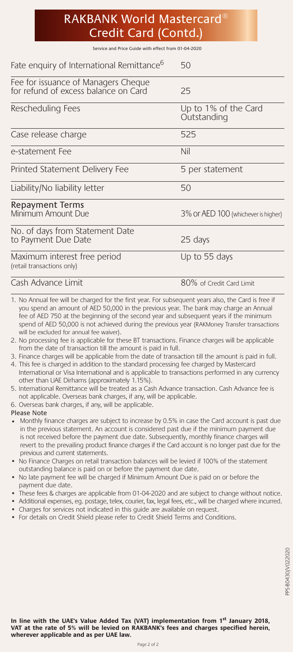# RAKBANK World Mastercard® Credit Card (Contd.)

Service and Price Guide with effect from 01-04-2020

| Fate enquiry of International Remittance <sup>6</sup>                       | 50                                  |
|-----------------------------------------------------------------------------|-------------------------------------|
| Fee for issuance of Managers Cheque<br>for refund of excess balance on Card | 25                                  |
| Rescheduling Fees                                                           | Up to 1% of the Card<br>Outstanding |
| Case release charge                                                         | 525                                 |
| e-statement Fee                                                             | Nil                                 |
| Printed Statement Delivery Fee                                              | 5 per statement                     |
| Liability/No liability letter                                               | 50                                  |
| <b>Repayment Terms</b><br>Minimum Amount Due                                | 3% OF AED 100 (whichever is higher) |
| No. of days from Statement Date<br>to Payment Due Date                      | 25 days                             |
| Maximum interest free period<br>(retail transactions only)                  | Up to 55 days                       |
| Cash Advance Limit                                                          | 80% of Credit Card Limit            |

1. No Annual fee will be charged for the first year. For subsequent years also, the Card is free if you spend an amount of AED 50,000 in the previous year. The bank may charge an Annual fee of AED 750 at the beginning of the second year and subsequent years if the minimum spend of AED 50,000 is not achieved during the previous year (RAKMoney Transfer transactions will be excluded for annual fee waiver).

- 2. No processing fee is applicable for these BT transactions. Finance charges will be applicable from the date of transaction till the amount is paid in full.
- 3. Finance charges will be applicable from the date of transaction till the amount is paid in full. 4. This fee is charged in addition to the standard processing fee charged by Mastercard
- International or Visa International and is applicable to transactions performed in any currency other than UAE Dirhams (approximately 1.15%).
- 5. International Remittance will be treated as a Cash Advance transaction. Cash Advance fee is not applicable. Overseas bank charges, if any, will be applicable.
- 6. Overseas bank charges, if any, will be applicable.

Please Note

- Monthly finance charges are subject to increase by 0.5% in case the Card account is past due in the previous statement. An account is considered past due if the minimum payment due is not received before the payment due date. Subsequently, monthly finance charges will revert to the prevailing product finance charges if the Card account is no longer past due for the previous and current statements.
- No Finance Charges on retail transaction balances will be levied if 100% of the statement outstanding balance is paid on or before the payment due date.
- No late payment fee will be charged if Minimum Amount Due is paid on or before the payment due date.
- These fees & charges are applicable from 01-04-2020 and are subject to change without notice.
- Additional expenses, eg. postage, telex, courier, fax, legal fees, etc., will be charged where incurred.
- Charges for services not indicated in this guide are available on request.
- For details on Credit Shield please refer to Credit Shield Terms and Conditions.

**In line with the UAE's Value Added Tax (VAT) implementation from 1st January 2018, VAT at the rate of 5% will be levied on RAKBANK's fees and charges specified herein, wherever applicable and as per UAE law.**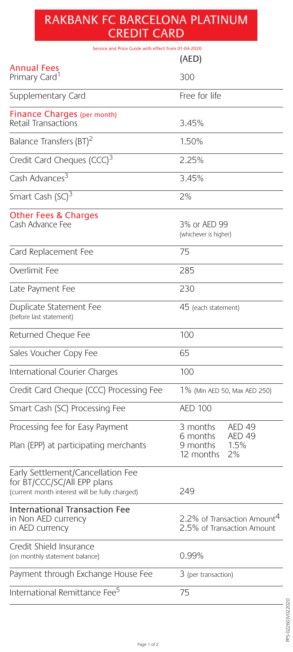# RAKBANK FC BARCELONA PLATINUM CREDIT CARD

| Service and Price Guide with effect from 01-04-2020                                                                |                                                                       |  |
|--------------------------------------------------------------------------------------------------------------------|-----------------------------------------------------------------------|--|
|                                                                                                                    | (AED)                                                                 |  |
| Annual Fees<br>Primary Card <sup>1</sup>                                                                           | 300                                                                   |  |
| Supplementary Card                                                                                                 | Free for life                                                         |  |
| Finance Charges (per month)<br>Retail Transactions                                                                 | 3.45%                                                                 |  |
| Balance Transfers (BT) <sup>2</sup>                                                                                | 1.50%                                                                 |  |
| Credit Card Cheques (CCC) <sup>3</sup>                                                                             | 2.25%                                                                 |  |
| Cash Advances <sup>3</sup>                                                                                         | 3.45%                                                                 |  |
| Smart Cash (SC) <sup>3</sup>                                                                                       | 2%                                                                    |  |
| Other Fees & Charges<br>Cash Advance Fee                                                                           | 3% or AED 99<br>(whichever is higher)                                 |  |
| Card Replacement Fee                                                                                               | 75                                                                    |  |
| Overlimit Fee                                                                                                      | 285                                                                   |  |
| Late Payment Fee                                                                                                   | 230                                                                   |  |
| Duplicate Statement Fee<br>(before last statement)                                                                 | 45 (each statement)                                                   |  |
| Returned Cheque Fee                                                                                                | 100                                                                   |  |
| Sales Voucher Copy Fee                                                                                             | 65                                                                    |  |
| International Courier Charges                                                                                      | 100                                                                   |  |
| Credit Card Cheque (CCC) Processing Fee                                                                            | 1% (Min AED 50, Max AED 250)                                          |  |
| Smart Cash (SC) Processing Fee                                                                                     | <b>AED 100</b>                                                        |  |
| Processing fee for Easy Payment                                                                                    | 3 months<br>AED 49                                                    |  |
| Plan (EPP) at participating merchants                                                                              | AED <sub>49</sub><br>6 months<br>1.5%<br>9 months<br>12 months<br>2%  |  |
| Early Settlement/Cancellation Fee<br>for BT/CCC/SC/All EPP plans<br>(current month interest will be fully charged) | 249                                                                   |  |
| <b>International Transaction Fee</b><br>in Non AED currency<br>in AED currency                                     | 2.2% of Transaction Amount <sup>4</sup><br>2.5% of Transaction Amount |  |
| Credit Shield Insurance<br>(on monthly statement balance)                                                          | 0.99%                                                                 |  |
| Payment through Exchange House Fee                                                                                 | 3 (per transaction)                                                   |  |
| International Remittance Fee <sup>5</sup>                                                                          | 75                                                                    |  |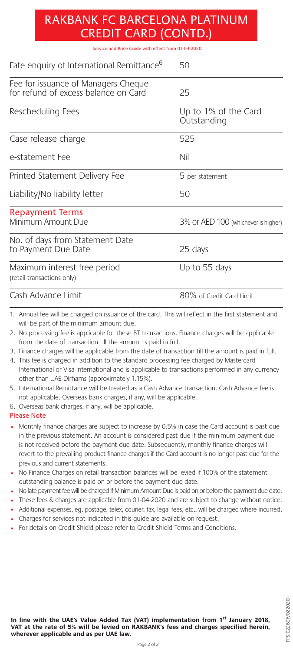# RAKBANK FC BARCELONA PLATINUM CREDIT CARD (CONTD.)

Service and Price Guide with effect from 01-04-2020

| Fate enquiry of International Remittance <sup>6</sup>                       | 50                                  |
|-----------------------------------------------------------------------------|-------------------------------------|
| Fee for issuance of Managers Cheque<br>for refund of excess balance on Card | 25                                  |
| Rescheduling Fees                                                           | Up to 1% of the Card<br>Outstanding |
| Case release charge                                                         | 525                                 |
| e-statement Fee                                                             | Nil                                 |
| Printed Statement Delivery Fee                                              | 5 per statement                     |
| Liability/No liability letter                                               | 50                                  |
| <b>Repayment Terms</b><br>Minimum Amount Due                                | 3% OF AED 100 (whichever is higher) |
| No. of days from Statement Date<br>to Payment Due Date                      | 25 days                             |
| Maximum interest free period<br>(retail transactions only)                  | Up to 55 days                       |
| Cash Advance Limit                                                          | 80% of Credit Card Limit            |

1. Annual fee will be charged on issuance of the card. This will reflect in the first statement and will be part of the minimum amount due.

- 2. No processing fee is applicable for these BT transactions. Finance charges will be applicable from the date of transaction till the amount is paid in full.
- 3. Finance charges will be applicable from the date of transaction till the amount is paid in full.
- 4. This fee is charged in addition to the standard processing fee charged by Mastercard International or Visa International and is applicable to transactions performed in any currency other than UAE Dirhams (approximately 1.15%).
- 5. International Remittance will be treated as a Cash Advance transaction. Cash Advance fee is not applicable. Overseas bank charges, if any, will be applicable.
- 6. Overseas bank charges, if any, will be applicable.

#### Please Note

- Monthly finance charges are subject to increase by 0.5% in case the Card account is past due in the previous statement. An account is considered past due if the minimum payment due is not received before the payment due date. Subsequently, monthly finance charges will revert to the prevailing product finance charges if the Card account is no longer past due for the previous and current statements.
- No Finance Charges on retail transaction balances will be levied if 100% of the statement outstanding balance is paid on or before the payment due date.
- No late payment fee will be charged if Minimum Amount Due is paid on or before the payment due date.
- These fees & charges are applicable from 01-04-2020 and are subject to change without notice.
- Additional expenses, eg. postage, telex, courier, fax, legal fees, etc., will be charged where incurred.
- Charges for services not indicated in this guide are available on request.
- For details on Credit Shield please refer to Credit Shield Terms and Conditions.

**In line with the UAE's Value Added Tax (VAT) implementation from 1st January 2018, VAT at the rate of 5% will be levied on RAKBANK's fees and charges specified herein, wherever applicable and as per UAE law.**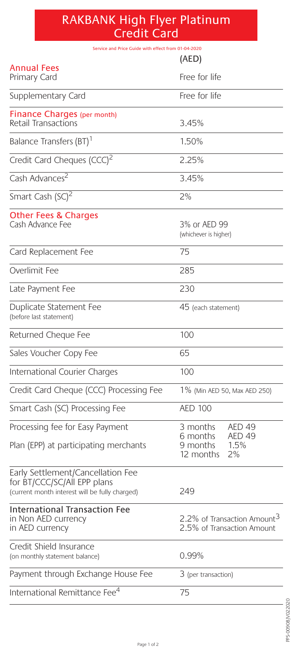# RAKBANK High Flyer Platinum Credit Card

| Service and Price Guide with effect from 01-04-2020                                                                |                                                                       |
|--------------------------------------------------------------------------------------------------------------------|-----------------------------------------------------------------------|
|                                                                                                                    | (AED)                                                                 |
| <b>Annual Fees</b><br>Primary Card                                                                                 | Free for life                                                         |
| Supplementary Card                                                                                                 | Free for life                                                         |
| <b>Finance Charges (per month)</b><br>Retail Transactions                                                          | 3.45%                                                                 |
| Balance Transfers (BT) <sup>1</sup>                                                                                | 1.50%                                                                 |
| Credit Card Cheques (CCC) <sup>2</sup>                                                                             | 2.25%                                                                 |
| Cash Advances <sup>2</sup>                                                                                         | 3.45%                                                                 |
| Smart Cash (SC) <sup>2</sup>                                                                                       | 2%                                                                    |
| <b>Other Fees &amp; Charges</b><br>Cash Advance Fee                                                                | 3% or AED 99<br>(whichever is higher)                                 |
| Card Replacement Fee                                                                                               | 75                                                                    |
| Overlimit Fee                                                                                                      | 285                                                                   |
| Late Payment Fee                                                                                                   | 230                                                                   |
| Duplicate Statement Fee<br>(before last statement)                                                                 | 45 (each statement)                                                   |
| Returned Cheque Fee                                                                                                | 100                                                                   |
| Sales Voucher Copy Fee                                                                                             | 65                                                                    |
| International Courier Charges                                                                                      | 100                                                                   |
| Credit Card Cheque (CCC) Processing Fee                                                                            | 1% (Min AED 50, Max AED 250)                                          |
| Smart Cash (SC) Processing Fee                                                                                     | <b>AED 100</b>                                                        |
| Processing fee for Easy Payment                                                                                    | 3 months<br><b>AED 49</b>                                             |
| Plan (EPP) at participating merchants                                                                              | <b>AED 49</b><br>6 months<br>9 months<br>1.5%<br>12 months<br>2%      |
| Early Settlement/Cancellation Fee<br>for BT/CCC/SC/All EPP plans<br>(current month interest will be fully charged) | 249                                                                   |
| <b>International Transaction Fee</b><br>in Non AED currency<br>in AED currency                                     | 2.2% of Transaction Amount <sup>3</sup><br>2.5% of Transaction Amount |
| Credit Shield Insurance<br>(on monthly statement balance)                                                          | 0.99%                                                                 |
| Payment through Exchange House Fee                                                                                 | 3 (per transaction)                                                   |
| International Remittance Fee <sup>4</sup>                                                                          | 75                                                                    |

 $\overline{\phantom{a}}$ 

 $\overline{\phantom{a}}$ 

l

 $\overline{a}$ 

 $\overline{\phantom{a}}$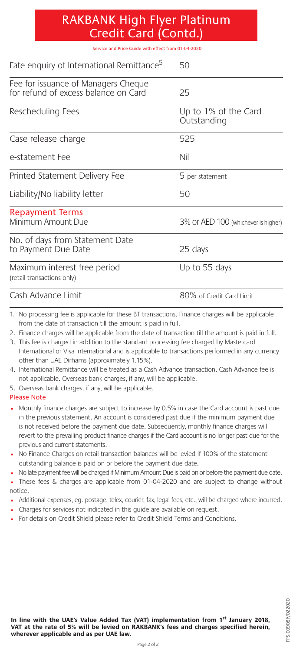| <b>RAKBANK High Flyer Platinum</b> |  |
|------------------------------------|--|
| Credit Card (Contd.)               |  |

Service and Price Guide with effect from 01-04-2020

| Fate enguiry of International Remittance <sup>5</sup>                       | 50                                  |
|-----------------------------------------------------------------------------|-------------------------------------|
| Fee for issuance of Managers Cheque<br>for refund of excess balance on Card | 25                                  |
| Rescheduling Fees                                                           | Up to 1% of the Card<br>Outstanding |
| Case release charge                                                         | 525                                 |
| e-statement Fee                                                             | Nil                                 |
| Printed Statement Delivery Fee                                              | 5 per statement                     |
| Liability/No liability letter                                               | 50                                  |
| <b>Repayment Terms</b><br>Minimum Amount Due                                | 3% OF AED 100 (whichever is higher) |
| No. of days from Statement Date<br>to Payment Due Date                      | 25 days                             |
| Maximum interest free period<br>(retail transactions only)                  | Up to 55 days                       |
| Cash Advance Limit                                                          | 80% of Credit Card Limit            |

1. No processing fee is applicable for these BT transactions. Finance charges will be applicable from the date of transaction till the amount is paid in full.

- 2. Finance charges will be applicable from the date of transaction till the amount is paid in full.
- 3. This fee is charged in addition to the standard processing fee charged by Mastercard International or Visa International and is applicable to transactions performed in any currency other than UAE Dirhams (approximately 1.15%).
- 4. International Remittance will be treated as a Cash Advance transaction. Cash Advance fee is not applicable. Overseas bank charges, if any, will be applicable.
- 5. Overseas bank charges, if any, will be applicable.

#### Please Note

- Monthly finance charges are subject to increase by 0.5% in case the Card account is past due in the previous statement. An account is considered past due if the minimum payment due is not received before the payment due date. Subsequently, monthly finance charges will revert to the prevailing product finance charges if the Card account is no longer past due for the previous and current statements.
- No Finance Charges on retail transaction balances will be levied if 100% of the statement outstanding balance is paid on or before the payment due date.
- No late payment fee will be charged if Minimum Amount Due is paid on or before the payment due date.
- These fees & charges are applicable from 01-04-2020 and are subject to change without notice.
- Additional expenses, eg. postage, telex, courier, fax, legal fees, etc., will be charged where incurred.
- Charges for services not indicated in this guide are available on request.
- For details on Credit Shield please refer to Credit Shield Terms and Conditions.

In line with the UAE's Value Added Tax (VAT) implementation from 1<sup>st</sup> January 2018, **VAT at the rate of 5% will be levied on RAKBANK's fees and charges specified herein, wherever applicable and as per UAE law.**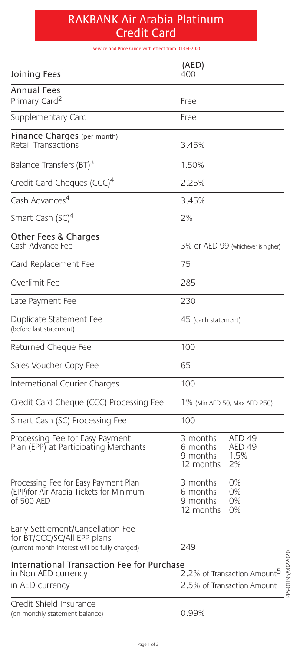# RAKBANK Air Arabia Platinum Credit Card

Service and Price Guide with effect from 01-04-2020

| (AED)<br>400                                                                                                                           |
|----------------------------------------------------------------------------------------------------------------------------------------|
| Free                                                                                                                                   |
| Free                                                                                                                                   |
| 3.45%                                                                                                                                  |
| 1.50%                                                                                                                                  |
| 2.25%                                                                                                                                  |
| 3.45%                                                                                                                                  |
| 2%                                                                                                                                     |
| 3% OF AED 99 (whichever is higher)                                                                                                     |
| 75                                                                                                                                     |
| 285                                                                                                                                    |
| 230                                                                                                                                    |
| 45 (each statement)                                                                                                                    |
| 100                                                                                                                                    |
| 65                                                                                                                                     |
| 100                                                                                                                                    |
| 1% (Min AED 50, Max AED 250)                                                                                                           |
| 100                                                                                                                                    |
| 3 months<br>AED 49<br><b>AED 49</b><br>6 months<br>9 months<br>1.5%<br>2%<br>12 months                                                 |
| 0%<br>3 months<br>0%<br>6 months<br>9 months<br>0%<br>12 months<br>0%                                                                  |
| 249                                                                                                                                    |
| PS-01195N022020<br>International Transaction Fee for Purchase<br>2.2% of Transaction Amount <sup>5</sup><br>2.5% of Transaction Amount |
| 0.99%                                                                                                                                  |
|                                                                                                                                        |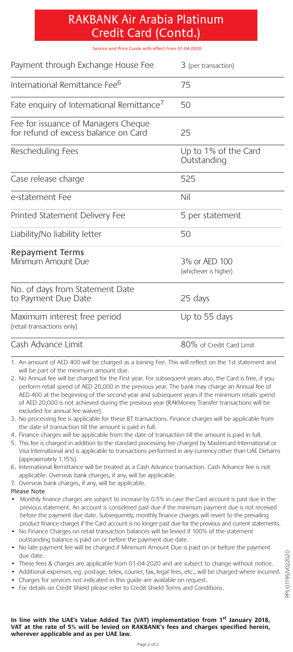### RAKBANK Air Arabia Platinum Credit Card (Contd.)

Service and Price Guide with effect from 01-04-2020

| Payment through Exchange House Fee                                          | 3 (per transaction)                    |
|-----------------------------------------------------------------------------|----------------------------------------|
| International Remittance Fee <sup>6</sup>                                   | 75                                     |
| Fate enquiry of International Remittance <sup>7</sup>                       | 50                                     |
| Fee for issuance of Managers Cheque<br>for refund of excess balance on Card | 25                                     |
| Rescheduling Fees                                                           | Up to 1% of the Card<br>Outstanding    |
| Case release charge                                                         | 525                                    |
| e-statement Fee                                                             | Nil                                    |
| Printed Statement Delivery Fee                                              | 5 per statement                        |
| Liability/No liability letter                                               | 50                                     |
| <b>Repayment Terms</b><br>Minimum Amount Due                                | 3% or AED 100<br>(whichever is higher) |
| No. of days from Statement Date<br>to Payment Due Date                      | 25 days                                |
| Maximum interest free period<br>(retail transactions only)                  | Up to 55 days                          |
| Cash Advance Limit                                                          | 80% of Credit Card Limit               |

1. An amount of AED 400 will be charged as a Joining Fee. This will reflect on the 1st statement and will be part of the minimum amount due.

2. No Annual fee will be charged for the First year. For subsequent years also, the Card is free, if you perform retail spend of AED 20,000 in the previous year. The bank may charge an Annual fee of AED 400 at the beginning of the second year and subsequent years if the minimum retails spend of AED 20,000 is not achieved during the previous year (RAKMoney Transfer transactions will be excluded for annual fee waiver).

3. No processing fee is applicable for these BT transactions. Finance charges will be applicable from the date of transaction till the amount is paid in full.

4. Finance charges will be applicable from the date of transaction till the amount is paid in full.

- 5. This fee is charged in addition to the standard processing fee charged by Mastercard International or Visa International and is applicable to transactions performed in any currency other than UAE Dirhams (approximately 1.15%).
- 6. International Remittance will be treated as a Cash Advance transaction. Cash Advance fee is not applicable. Overseas bank charges, if any, will be applicable.
- 7. Overseas bank charges, if any, will be applicable.

Please Note

- Monthly finance charges are subject to increase by 0.5% in case the Card account is past due in the previous statement. An account is considered past due if the minimum payment due is not received before the payment due date. Subsequently, monthly finance charges will revert to the prevailing product finance charges if the Card account is no longer past due for the previous and current statements.
- No Finance Charges on retail transaction balances will be levied if 100% of the statement outstanding balance is paid on or before the payment due date.
- No late payment fee will be charged if Minimum Amount Due is paid on or before the payment due date.
- These fees & charges are applicable from 01-04-2020 and are subject to change without notice.
- Additional expenses, eg. postage, telex, courier, fax, legal fees, etc., will be charged where incurred.
- Charges for services not indicated in this guide are available on request.
- For details on Credit Shield please refer to Credit Shield Terms and Conditions.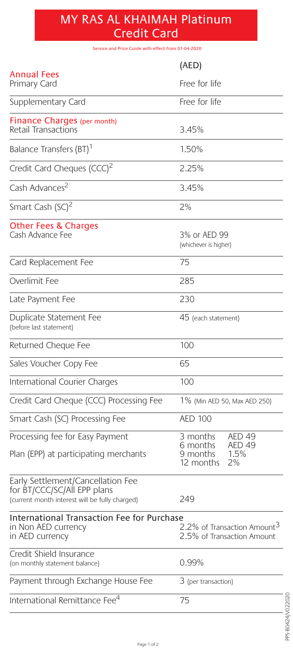### MY RAS AL KHAIMAH Platinum Credit Card

Service and Price Guide with effect from 01-04-2020

|                                                                                                                    | (AED)                                                                 |
|--------------------------------------------------------------------------------------------------------------------|-----------------------------------------------------------------------|
| Annual Fees<br>Primary Card                                                                                        | Free for life                                                         |
| Supplementary Card                                                                                                 | Free for life                                                         |
| Finance Charges (per month)<br>Retail Transactions                                                                 | 3.45%                                                                 |
| Balance Transfers (BT) <sup>1</sup>                                                                                | 1.50%                                                                 |
| Credit Card Cheques (CCC) <sup>2</sup>                                                                             | 2.25%                                                                 |
| Cash Advances <sup>2</sup>                                                                                         | 3.45%                                                                 |
| Smart Cash (SC) <sup>2</sup>                                                                                       | 2%                                                                    |
| <b>Other Fees &amp; Charges</b><br>Cash Advance Fee                                                                | 3% or AED 99<br>(whichever is higher)                                 |
| Card Replacement Fee                                                                                               | 75                                                                    |
| Overlimit Fee                                                                                                      | 285                                                                   |
| Late Payment Fee                                                                                                   | 230                                                                   |
| Duplicate Statement Fee<br>(before last statement)                                                                 | 45 (each statement)                                                   |
| Returned Cheque Fee                                                                                                | 100                                                                   |
| Sales Voucher Copy Fee                                                                                             | 65                                                                    |
| International Courier Charges                                                                                      | 100                                                                   |
| Credit Card Cheque (CCC) Processing Fee                                                                            | 1% (Min AED 50, Max AED 250)                                          |
| Smart Cash (SC) Processing Fee                                                                                     | <b>AED 100</b>                                                        |
| Processing fee for Easy Payment                                                                                    | 3 months<br><b>AED 49</b><br><b>AED 49</b><br>6 months                |
| Plan (EPP) at participating merchants                                                                              | 1.5%<br>9 months<br>12 months<br>2%                                   |
| Early Settlement/Cancellation Fee<br>for BT/CCC/SC/All EPP plans<br>(current month interest will be fully charged) | 249                                                                   |
| International Transaction Fee for Purchase<br>in Non AED currency<br>in AED currency                               | 2.2% of Transaction Amount <sup>3</sup><br>2.5% of Transaction Amount |
| Credit Shield Insurance<br>(on monthly statement balance)                                                          | 0.99%                                                                 |
| Payment through Exchange House Fee                                                                                 | 3 (per transaction)                                                   |
| International Remittance Fee <sup>4</sup>                                                                          | 75                                                                    |

 $\overline{\phantom{a}}$ PPS-B0424/V022020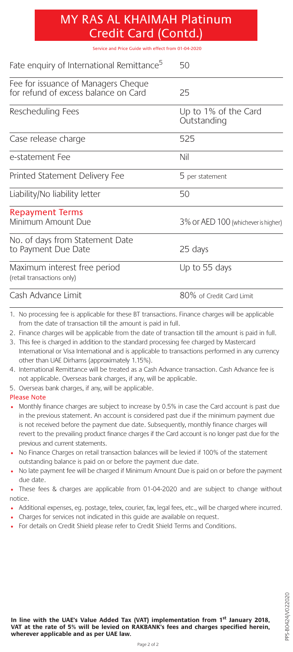### MY RAS AL KHAIMAH Platinum Credit Card (Contd.)

Service and Price Guide with effect from 01-04-2020

| Fate enquiry of International Remittance <sup>5</sup>                       | 50                                  |
|-----------------------------------------------------------------------------|-------------------------------------|
| Fee for issuance of Managers Cheque<br>for refund of excess balance on Card | 25                                  |
| Rescheduling Fees                                                           | Up to 1% of the Card<br>Outstanding |
| Case release charge                                                         | 525                                 |
| e-statement Fee                                                             | Nil                                 |
| Printed Statement Delivery Fee                                              | 5 per statement                     |
| Liability/No liability letter                                               | 50                                  |
| <b>Repayment Terms</b><br>Minimum Amount Due                                | 3% OF AED 100 (whichever is higher) |
| No. of days from Statement Date<br>to Payment Due Date                      | 25 days                             |
| Maximum interest free period<br>(retail transactions only)                  | Up to 55 days                       |
| Cash Advance Limit                                                          | 80% of Credit Card Limit            |

1. No processing fee is applicable for these BT transactions. Finance charges will be applicable from the date of transaction till the amount is paid in full.

- 2. Finance charges will be applicable from the date of transaction till the amount is paid in full.
- 3. This fee is charged in addition to the standard processing fee charged by Mastercard International or Visa International and is applicable to transactions performed in any currency other than UAE Dirhams (approximately 1.15%).
- 4. International Remittance will be treated as a Cash Advance transaction. Cash Advance fee is not applicable. Overseas bank charges, if any, will be applicable.
- 5. Overseas bank charges, if any, will be applicable.

#### Please Note

- Monthly finance charges are subject to increase by 0.5% in case the Card account is past due in the previous statement. An account is considered past due if the minimum payment due is not received before the payment due date. Subsequently, monthly finance charges will revert to the prevailing product finance charges if the Card account is no longer past due for the previous and current statements.
- No Finance Charges on retail transaction balances will be levied if 100% of the statement outstanding balance is paid on or before the payment due date.
- No late payment fee will be charged if Minimum Amount Due is paid on or before the payment due date.

• These fees & charges are applicable from 01-04-2020 and are subject to change without notice.

- Additional expenses, eg. postage, telex, courier, fax, legal fees, etc., will be charged where incurred.
- Charges for services not indicated in this guide are available on request.
- For details on Credit Shield please refer to Credit Shield Terms and Conditions.

In line with the UAE's Value Added Tax (VAT) implementation from 1<sup>st</sup> January 2018, **VAT at the rate of 5% will be levied on RAKBANK's fees and charges specified herein, wherever applicable and as per UAE law.**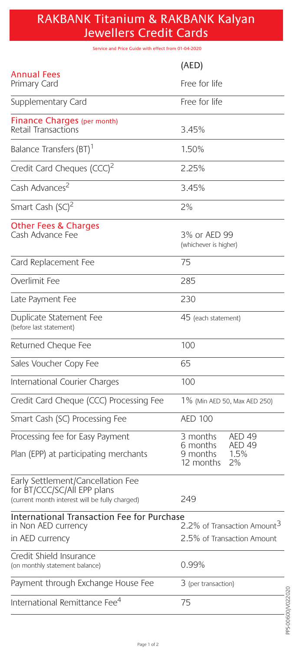### RAKBANK Titanium & RAKBANK Kalyan Jewellers Credit Cards

Service and Price Guide with effect from 01-04-2020

|                                                                                                                    | (AED)                                                      |
|--------------------------------------------------------------------------------------------------------------------|------------------------------------------------------------|
| Annual Fees<br>Primary Card                                                                                        | Free for life                                              |
| Supplementary Card                                                                                                 | Free for life                                              |
| Finance Charges (per month)<br>Retail Transactions                                                                 | 3.45%                                                      |
| Balance Transfers (BT)                                                                                             | 1.50%                                                      |
| Credit Card Cheques (CCC) <sup>2</sup>                                                                             | 2.25%                                                      |
| Cash Advances <sup>2</sup>                                                                                         | 3.45%                                                      |
| Smart Cash (SC) <sup>2</sup>                                                                                       | 2%                                                         |
| <b>Other Fees &amp; Charges</b><br>Cash Advance Fee                                                                | 3% or AED 99<br>(whichever is higher)                      |
| Card Replacement Fee                                                                                               | 75                                                         |
| Overlimit Fee                                                                                                      | 285                                                        |
| Late Payment Fee                                                                                                   | 230                                                        |
| Duplicate Statement Fee<br>(before last statement)                                                                 | 45 (each statement)                                        |
| Returned Cheque Fee                                                                                                | 100                                                        |
| Sales Voucher Copy Fee                                                                                             | 65                                                         |
| International Courier Charges                                                                                      | 100                                                        |
| Credit Card Cheque (CCC) Processing Fee                                                                            | 1% (Min AED 50, Max AED 250)                               |
| Smart Cash (SC) Processing Fee                                                                                     | <b>AED 100</b>                                             |
| Processing fee for Easy Payment                                                                                    | 3 months<br>AED <sub>49</sub><br><b>AED 49</b><br>6 months |
| Plan (EPP) at participating merchants                                                                              | 9 months<br>1.5%<br>12 months<br>2%                        |
| Early Settlement/Cancellation Fee<br>for BT/CCC/SC/All EPP plans<br>(current month interest will be fully charged) | 249                                                        |
| International Transaction Fee for Purchase<br>in Non AED currency                                                  | 2.2% of Transaction Amount <sup>3</sup>                    |
| in AED currency                                                                                                    | 2.5% of Transaction Amount                                 |
| Credit Shield Insurance<br>(on monthly statement balance)                                                          | 0.99%                                                      |
| Payment through Exchange House Fee                                                                                 | 3 (per transaction)                                        |
| International Remittance Fee <sup>4</sup>                                                                          | 75                                                         |

PPS-00600/V022020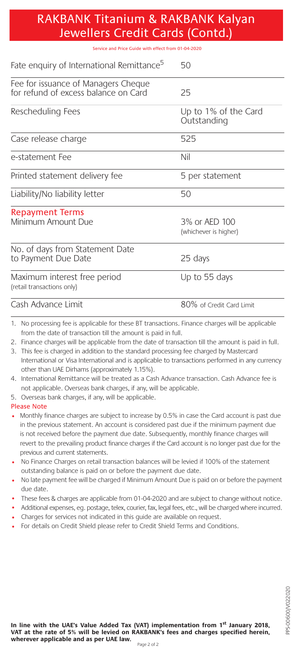| RAKBANK Titanium & RAKBANK Kalyan |  |
|-----------------------------------|--|
| Jewellers Credit Cards (Contd.)   |  |

Service and Price Guide with effect from 01-04-2020

| Fate enquiry of International Remittance <sup>5</sup>                       | 50                                     |
|-----------------------------------------------------------------------------|----------------------------------------|
| Fee for issuance of Managers Cheque<br>for refund of excess balance on Card | 25                                     |
| Rescheduling Fees                                                           | Up to 1% of the Card<br>Outstanding    |
| Case release charge                                                         | 525                                    |
| e-statement Fee                                                             | Nil                                    |
| Printed statement delivery fee                                              | 5 per statement                        |
| Liability/No liability letter                                               | 50                                     |
| <b>Repayment Terms</b><br>Minimum Amount Due                                | 3% or AED 100<br>(whichever is higher) |
| No. of days from Statement Date<br>to Payment Due Date                      | 25 days                                |
| Maximum interest free period<br>(retail transactions only)                  | Up to 55 days                          |
| Cash Advance Limit                                                          | 80% of Credit Card Limit               |

- 1. No processing fee is applicable for these BT transactions. Finance charges will be applicable from the date of transaction till the amount is paid in full.
- 2. Finance charges will be applicable from the date of transaction till the amount is paid in full.
- 3. This fee is charged in addition to the standard processing fee charged by Mastercard International or Visa International and is applicable to transactions performed in any currency other than UAE Dirhams (approximately 1.15%).
- 4. International Remittance will be treated as a Cash Advance transaction. Cash Advance fee is not applicable. Overseas bank charges, if any, will be applicable.
- 5. Overseas bank charges, if any, will be applicable.

#### Please Note

- Monthly finance charges are subject to increase by 0.5% in case the Card account is past due in the previous statement. An account is considered past due if the minimum payment due is not received before the payment due date. Subsequently, monthly finance charges will revert to the prevailing product finance charges if the Card account is no longer past due for the previous and current statements.
- No Finance Charges on retail transaction balances will be levied if 100% of the statement outstanding balance is paid on or before the payment due date.
- No late payment fee will be charged if Minimum Amount Due is paid on or before the payment due date.
- These fees & charges are applicable from 01-04-2020 and are subject to change without notice.
- Additional expenses, eg. postage, telex, courier, fax, legal fees, etc., will be charged where incurred.
- Charges for services not indicated in this guide are available on request.
- For details on Credit Shield please refer to Credit Shield Terms and Conditions.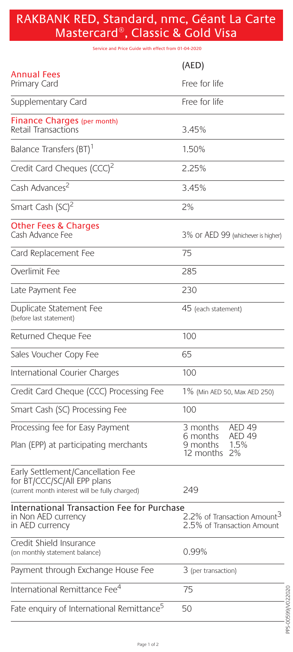# RAKBANK RED, Standard, nmc, Géant La Carte Mastercard®, Classic & Gold Visa

Service and Price Guide with effect from 01-04-2020

|                                                                                                                    | (AED)                                                                                             |
|--------------------------------------------------------------------------------------------------------------------|---------------------------------------------------------------------------------------------------|
| Annual Fees<br>Primary Card                                                                                        | Free for life                                                                                     |
| Supplementary Card                                                                                                 | Free for life                                                                                     |
| Finance Charges (per month)<br>Retail Transactions                                                                 | 3.45%                                                                                             |
| Balance Transfers (BT)                                                                                             | 1.50%                                                                                             |
| Credit Card Cheques (CCC) <sup>2</sup>                                                                             | 2.25%                                                                                             |
| Cash Advances <sup>2</sup>                                                                                         | 3.45%                                                                                             |
| Smart Cash (SC) <sup>2</sup>                                                                                       | 2%                                                                                                |
| <b>Other Fees &amp; Charges</b><br>Cash Advance Fee                                                                | 3% Or AED 99 (whichever is higher)                                                                |
| Card Replacement Fee                                                                                               | 75                                                                                                |
| Overlimit Fee                                                                                                      | 285                                                                                               |
| Late Payment Fee                                                                                                   | 230                                                                                               |
| Duplicate Statement Fee<br>(before last statement)                                                                 | 45 (each statement)                                                                               |
| Returned Cheque Fee                                                                                                | 100                                                                                               |
| Sales Voucher Copy Fee                                                                                             | 65                                                                                                |
| International Courier Charges                                                                                      | 100                                                                                               |
| Credit Card Cheque (CCC) Processing Fee                                                                            | 1% (Min AED 50, Max AED 250)                                                                      |
| Smart Cash (SC) Processing Fee                                                                                     | 100                                                                                               |
| Processing fee for Easy Payment<br>Plan (EPP) at participating merchants                                           | 3 months<br>AED <sub>49</sub><br>6 months<br><b>AED 49</b><br>1.5%<br>9 months<br>2%<br>12 months |
| Early Settlement/Cancellation Fee<br>for BT/CCC/SC/All EPP plans<br>(current month interest will be fully charged) | 249                                                                                               |
| <b>International Transaction Fee for Purchase</b><br>in Non AED currency<br>in AED currency                        | 2.2% of Transaction Amount <sup>3</sup><br>2.5% of Transaction Amount                             |
| Credit Shield Insurance<br>(on monthly statement balance)                                                          | 0.99%                                                                                             |
|                                                                                                                    |                                                                                                   |
| Payment through Exchange House Fee                                                                                 | 3 (per transaction)                                                                               |
| International Remittance Fee <sup>4</sup>                                                                          | 75                                                                                                |
| Fate enquiry of International Remittance <sup>5</sup>                                                              | 50                                                                                                |

PPS-00599/V022020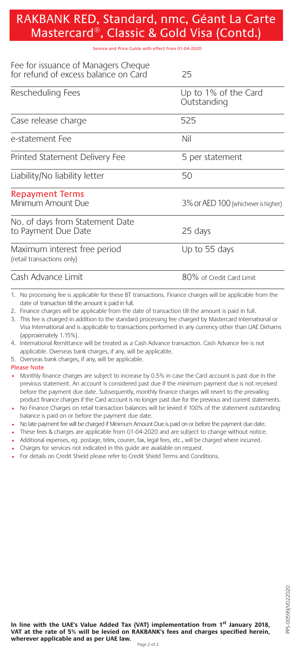# RAKBANK RED, Standard, nmc, Géant La Carte Mastercard®, Classic & Gold Visa (Contd.)

#### Service and Price Guide with effect from 01-04-2020

| Fee for issuance of Managers Cheque<br>for refund of excess balance on Card | 25                                  |
|-----------------------------------------------------------------------------|-------------------------------------|
| Rescheduling Fees                                                           | Up to 1% of the Card<br>Outstanding |
| Case release charge                                                         | 525                                 |
| e-statement Fee                                                             | Nil                                 |
| Printed Statement Delivery Fee                                              | 5 per statement                     |
| Liability/No liability letter                                               | 50                                  |
| <b>Repayment Terms</b><br>Minimum Amount Due                                | 3% Or AED 100 (whichever is higher) |
| No. of days from Statement Date<br>to Payment Due Date                      | 25 days                             |
| Maximum interest free period<br>(retail transactions only)                  | Up to 55 days                       |
| Cash Advance Limit                                                          | 80% of Credit Card Limit            |

1. No processing fee is applicable for these BT transactions. Finance charges will be applicable from the date of transaction till the amount is paid in full.

2. Finance charges will be applicable from the date of transaction till the amount is paid in full.

3. This fee is charged in addition to the standard processing fee charged by Mastercard International or Visa International and is applicable to transactions performed in any currency other than UAE Dirhams (approximately 1.15%).

4. International Remittance will be treated as a Cash Advance transaction. Cash Advance fee is not applicable. Overseas bank charges, if any, will be applicable.

5. Overseas bank charges, if any, will be applicable.

Please Note

• Monthly finance charges are subject to increase by 0.5% in case the Card account is past due in the previous statement. An account is considered past due if the minimum payment due is not received before the payment due date. Subsequently, monthly finance charges will revert to the prevailing product finance charges if the Card account is no longer past due for the previous and current statements.

• No Finance Charges on retail transaction balances will be levied if 100% of the statement outstanding balance is paid on or before the payment due date.

• No late payment fee will be charged if Minimum Amount Due is paid on or before the payment due date.

- These fees & charges are applicable from 01-04-2020 and are subject to change without notice.
- Additional expenses, eg. postage, telex, courier, fax, legal fees, etc., will be charged where incurred.

• Charges for services not indicated in this guide are available on request.

• For details on Credit Shield please refer to Credit Shield Terms and Conditions.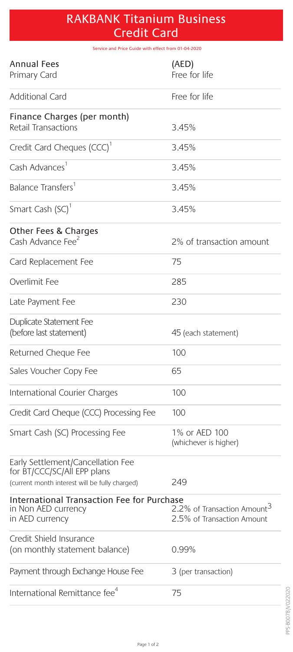# RAKBANK Titanium Business Credit Card

Service and Price Guide with effect from 01-04-2020

| <b>Annual Fees</b><br>Primary Card                                                                                 | (AED)<br>Free for life                                                |
|--------------------------------------------------------------------------------------------------------------------|-----------------------------------------------------------------------|
| Additional Card                                                                                                    | Free for life                                                         |
| Finance Charges (per month)<br>Retail Transactions                                                                 | 3.45%                                                                 |
| Credit Card Cheques (CCC) <sup>1</sup>                                                                             | 3.45%                                                                 |
| Cash Advances <sup>1</sup>                                                                                         | 3.45%                                                                 |
| Balance Transfers <sup>1</sup>                                                                                     | 3.45%                                                                 |
| Smart Cash (SC) <sup>1</sup>                                                                                       | 3.45%                                                                 |
| Other Fees & Charges<br>Cash Advance Fee <sup>2</sup>                                                              | 2% of transaction amount                                              |
| Card Replacement Fee                                                                                               | 75                                                                    |
| Overlimit Fee                                                                                                      | 285                                                                   |
| Late Payment Fee                                                                                                   | 230                                                                   |
| Duplicate Statement Fee<br>(before last statement)                                                                 | 45 (each statement)                                                   |
| Returned Cheque Fee                                                                                                | 100                                                                   |
| Sales Voucher Copy Fee                                                                                             | 65                                                                    |
| International Courier Charges                                                                                      | 100                                                                   |
| Credit Card Cheque (CCC) Processing Fee                                                                            | 100                                                                   |
| Smart Cash (SC) Processing Fee                                                                                     | 1% or AED 100<br>(whichever is higher)                                |
| Early Settlement/Cancellation Fee<br>for BT/CCC/SC/All EPP plans<br>(current month interest will be fully charged) | 249                                                                   |
| International Transaction Fee for Purchase<br>in Non AED currency<br>in AED currency                               | 2.2% of Transaction Amount <sup>3</sup><br>2.5% of Transaction Amount |
| Credit Shield Insurance<br>(on monthly statement balance)                                                          | 0.99%                                                                 |
| Payment through Exchange House Fee                                                                                 | 3 (per transaction)                                                   |
| International Remittance fee <sup>4</sup>                                                                          | 75                                                                    |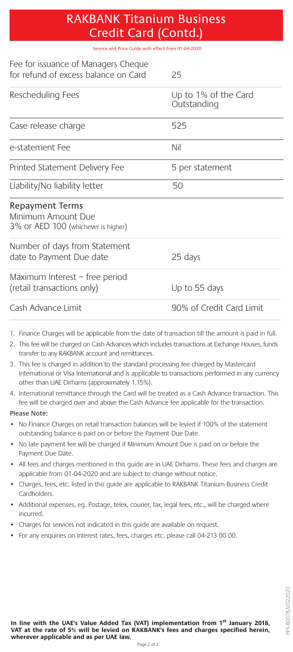### RAKBANK Titanium Business Credit Card (Contd.)

Service and Price Guide with effect from 01-04-2020

| Fee for issuance of Managers Cheque<br>for refund of excess balance on Card                                                                                                                                                                                   | 25                                  |
|---------------------------------------------------------------------------------------------------------------------------------------------------------------------------------------------------------------------------------------------------------------|-------------------------------------|
| Rescheduling Fees                                                                                                                                                                                                                                             | Up to 1% of the Card<br>Outstanding |
| Case release charge                                                                                                                                                                                                                                           | 525                                 |
| e-statement Fee                                                                                                                                                                                                                                               | Nil                                 |
| Printed Statement Delivery Fee                                                                                                                                                                                                                                | 5 per statement                     |
| Liability/No liability letter                                                                                                                                                                                                                                 | 50                                  |
| Repayment Terms<br>Minimum Amount Due<br>3% Or AED 100 (whichever is higher)                                                                                                                                                                                  |                                     |
| Number of days from Statement<br>date to Payment Due date                                                                                                                                                                                                     | 25 days                             |
| Maximum Interest – free period<br>(retail transactions only)                                                                                                                                                                                                  | Up to 55 days                       |
| Cash Advance Limit                                                                                                                                                                                                                                            | 90% of Credit Card Limit            |
| 1. Finance Charges will be applicable from the date of transaction till the amount is paid in full.<br>2. This fee will be charged on Cash Advances which includes transactions at Exchange Houses, funds<br>transfer to any RAKBANK account and remittances. |                                     |

- 3. This fee is charged in addition to the standard processing fee charged by Mastercard International or Visa International and is applicable to transactions performed in any currency other than UAE Dirhams (approximately 1.15%).
- 4. International remittance through the Card will be treated as a Cash Advance transaction. This fee will be charged over and above the Cash Advance fee applicable for the transaction.

#### Please Note:

- No Finance Charges on retail transaction balances will be levied if 100% of the statement outstanding balance is paid on or before the Payment Due Date.
- No late payment fee will be charged if Minimum Amount Due is paid on or before the Payment Due Date.
- All fees and charges mentioned in this guide are in UAE Dirhams. These fees and charges are applicable from 01-04-2020 and are subject to change without notice.
- Charges, fees, etc. listed in this guide are applicable to RAKBANK Titanium Business Credit Cardholders.
- Additional expenses, eg. Postage, telex, courier, fax, legal fees, etc., will be charged where incurred.
- Charges for services not indicated in this guide are available on request.
- For any enquiries on Interest rates, fees, charges etc. please call 04-213 00 00.